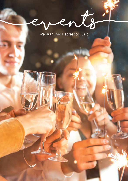**(events)**

Wallarah Bay Recreation Club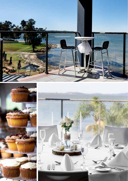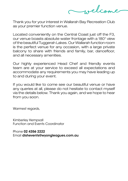

Thank you for your interest in Wallarah Bay Recreation Club as your premier function venue.

Located conveniently on the Central Coast just off the F3, our venue boasts absolute water frontage with a 180° view of the beautiful Tuggerah Lakes. Our Wallarah function room is the perfect venue for any occasion, with a large private balcony to share with friends and family, bar, dancefloor, and all necessary amenities.

Our highly experienced Head Chef and friendly events team are at your service to exceed all expectations and accommodate any requirements you may have leading up to and during your event.

If you would like to come see our beautiful venue or have any queries at all, please do not hesitate to contact myself via the details below. Thank you again, and we hope to hear from you soon.

Warmest regards,

Kimberley Hempsall Function and Events Coordinator

Phone 02 4356 2222 Email dishevents@wyongleagues.com.au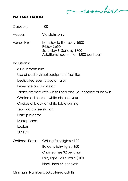**(room hire)**

#### WALLARAH ROOM

| Capacity                              | 100                                                                                                          |
|---------------------------------------|--------------------------------------------------------------------------------------------------------------|
| Access                                | Via stairs only                                                                                              |
| Venue Hire                            | Monday to Thursday \$500<br>Friday \$650<br>Saturday & Sunday \$700<br>Additional room hire - \$200 per hour |
| Inclusions:                           |                                                                                                              |
| 5 Hour room hire                      |                                                                                                              |
|                                       | Use of audio visual equipment facilities                                                                     |
|                                       | Dedicated events coordinator                                                                                 |
| Beverage and wait staff               |                                                                                                              |
|                                       | Tables dressed with white linen and your choice of napkin                                                    |
| Choice of black or white chair covers |                                                                                                              |
|                                       | Choice of black or white table skirting                                                                      |
| Tea and coffee station                |                                                                                                              |
| Data projector                        |                                                                                                              |
| Microphone                            |                                                                                                              |
| Lectern                               |                                                                                                              |
| 50" TV's                              |                                                                                                              |
| Optional Extras                       | Ceiling fairy lights \$100                                                                                   |
|                                       | Balcony fairy lights \$50                                                                                    |
|                                       | Chair sashes \$2 per chair                                                                                   |
|                                       | Fairy light wall curtain \$100                                                                               |
|                                       | Black linen \$6 per cloth                                                                                    |

Minimum Numbers: 50 catered adults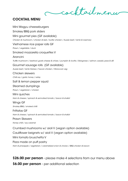**(cocktail menu)**

#### COCKTAIL MENU

Mini Wagyu cheeseburgers Smokey BBQ pork sliders Mini gourmet pies (GF available) *Chicken & mushroom / chicken & leek / butter chicken / Aussie beef / lamb & rosemary* Vietnamese rice paper rolls GF *Prawn / vegetable / duck* Smoked mozzarella croquettes V Arancini *Truffle mushroom / beetroot, goats cheese & chives / pumpkin & ricotta / Bolognese / salmon, wasabi, peas & dill* Gourmet sausage rolls (GF available) *Aussie beef / lamb Harissa / Tuscan chicken / Moroccan veg* Chicken skewers *Chilli soy / garlic honey / satay* Salt & lemon pepper squid Steamed dumplings *Prawn / vegetarian / chicken* Mini quiches *Ham & cheese / spinach & semi-dried tomato / bacon & shallot* Wings GF *Smokey BBQ / smoked chilli* Frittatas GF *Ham & cheese / spinach & semi-dried tomato / bacon & shallot* Prawn Skewers *Honey chilli / soy caramel* Crumbed mushrooms w/ aioli V (vegan option available) Cauliflower beignets w/ aioli V (vegan option available) Mini tomato bruschetta V Pizza made on puff pastry *Ham & pineapple / vegetarian / caramelized onion & chorizo / BBQ chicken & bacon*

\$26.00 per person - please make 4 selections from our menu above \$6.00 per person - per additional selection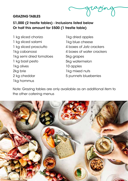**(grazing)**

# GRAZING TABLES

\$1,000 (2 trestle tables) - Inclusions listed below Or half this amount for \$500 (1 trestle table)

1 kg sliced chorizo 1 kg sliced salami 1 kg sliced prosciutto 1kg cabanossi 1kg semi dried tomatoes 1 kg basil pesto 1kg olives 2kg brie 2 kg cheddar 1kg hommus

1kg dried apples 1kg blue cheese 4 boxes of Jatz crackers 4 boxes of water crackers 5kg grapes 5kg watermelon 10 apples 1kg mixed nuts 5 punnets blueberries

Note: Grazing tables are only available as an additional item to the other catering menus

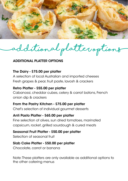

**(additional platter options)**

### ADDITIONAL PLATTER OPTIONS

The Dairy - \$75.00 per platter A selection of local Australian and imported cheeses Fresh grapes & pear, fruit paste, lavosh & crackers

Retro Platter - \$55.00 per platter Cabanossi, cheddar cubes, celery & carrot batons, French onion dip & crackers

From the Pastry Kitchen - \$75.00 per platter Chef's selection of individual gourmet desserts

Anti Pasto Platter - \$65.00 per platter Fine selection of olives, sun dried tomatoes, marinated capsicum, rocket, grilled sourdough & cured meats

Seasonal Fruit Platter - \$50.00 per platter Selection of seasonal fruit

Slab Cake Platter - \$50.00 per platter Chocolate, carrot or banana

Note: These platters are only available as additional options to the other catering menus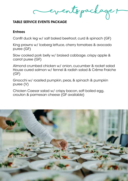**(events package 1)**

# TABLE SERVICE EVENTS PACKAGE

### **Entrees**

Confit duck leg w/ salt baked beetroot, curd & spinach (GF)

King prawns w/ Iceberg lettuce, cherry tomatoes & avocado puree (GF)

Slow cooked pork belly w/ braised cabbage, crispy apple & carrot puree (GF)

Almond crumbed chicken w/ onion, cucumber & rocket salad House cured salmon w/ fennel & radish salad & Crème Fraiche (GF)

Gnocchi w/ roasted pumpkin, peas, & spinach & pumpkin puree (V)

Chicken Caesar salad w/ crispy bacon, soft boiled egg, crouton & parmesan cheese (GF available)

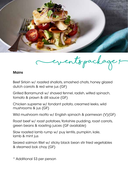

**(events package 1)**

#### **Mains**

Beef Sirloin w/ roasted shallots, smashed chats, honey glazed dutch carrots & red wine jus (GF)

Grilled Barramundi w/ shaved fennel, radish, wilted spinach, tomato & prawn & dill sauce (GF)

Chicken supreme w/ fondant potato, creamed leeks, wild mushrooms & jus (GF)

Wild mushroom risotto w/ English spinach & parmesan (V)(GF)

Roast beef w/ roast potatoes, Yorkshire pudding, roast carrots, green beans & roasting juices (GF available)

Slow roasted lamb rump w/ puy lentils, pumpkin, kale, lamb & mint jus

Seared salmon fillet w/ sticky black bean stir fried vegetables & steamed bok choy (GF)

\* Additional \$3 per person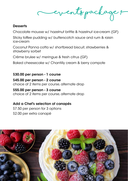**(events package 1)**

#### **Desserts**

Chocolate mousse w/ hazelnut brittle & hazelnut ice-cream (GF)

Sticky toffee pudding w/ butterscotch sauce and rum & raisin ice-cream

Coconut Panna cotta w/ shortbread biscuit, strawberries & strawberry sorbet

Crème brulee w/ meringue & fresh citrus (GF)

Baked cheesecake w/ Chantilly cream & berry compote

## \$30.00 per person - 1 course

\$45.00 per person - 2 course choice of 2 items per course, alternate drop

#### \$55.00 per person - 3 course

choice of 2 items per course, alternate drop

## Add a Chef's selection of canapés

\$7.50 per person for 3 options \$2.00 per extra canapè

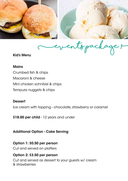

**(events package 1)**

Kid's Menu

### **Mains**

Crumbed fish & chips Macaroni & cheese Mini chicken schnitzel & chips Tempura nuggets & chips

#### **Dessert**

Ice cream with topping - chocolate, strawberry or caramel

\$18.00 per child - 12 years and under

Additional Option - Cake Serving

Option 1: \$0.50 per person

Cut and served on platters

# Option 2: \$3.50 per person

Cut and served as dessert to your guests w/ cream & strawberries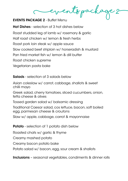**(events package 2)**

EVENTS PACKAGE 2 - Buffet Menu

Hot Dishes - selection of 3 hot dishes below Roast studded leg of lamb w/ rosemary & garlic Half roast chicken w/ lemon & fresh herbs Roast pork loin steak w/ apple sauce Slow cooked beef striploin w/ horseradish & mustard Pan fried market fish w/ lemon & dill butter Roast chicken supreme Vegetarian pasta bake

Salads - selection of 3 salads below

Asian coleslaw w/ carrot, cabbage, shallots & sweet chilli mayo

Greek salad, cherry tomatoes, sliced cucumbers, onion, fetta cheese & olives

Tossed garden salad w/ balsamic dressing

Traditional Caesar salad, cos lettuce, bacon, soft boiled egg, parmesan cheese & croutons

Slaw w/ apple, cabbage, carrot & mayonnaise

**Potato** - selection of 1 potato dish below

Roasted chats w/ garlic & thyme

Creamy mashed potato

Creamy bacon potato bake

Potato salad w/ bacon, egg, sour cream & shallots

Inclusions – seasonal vegetables, condiments & dinner rolls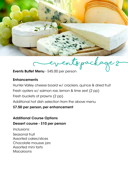

 $\epsilon$  package

Events Buffet Menu - \$45.00 per person

### **Enhancements**

Hunter Valley cheese board w/ crackers, quince & dried fruit Fresh oysters w/ salmon roe, lemon & lime zest (2 pp) Fresh buckets of prawns (2 pp) Additional hot dish selection from the above menu \$7.50 per person, per enhancement

## Additional Course Options

# Dessert course - \$10 per person

*Inclusions:* Seasonal fruit Assorted cakes/slices Chocolate mousse jars Assorted mini tarts Macaroons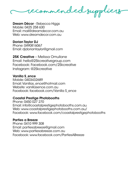**(recommended suppliers)**

**Dream Décor** - Rebecca Higgs Mobile: 0425 258 630 Email: mail@dreamdecor.com.au Web: www.dreamdecor.com.au

Dorian Taylor DJ Phone: 0490816067 Email: djdoriantaylor@gmail.com

25K Creative - Melissa Omullane Email: hello@25kcreativegroup.com

Facebook: Facebook.com/25kcreative Instagram: @25kcreative

### Vanilla S\_ence

Mobile: 0403432689 Email: Vanillas\_ence@hotmail.com Website: vanillasence.com.au Facebook: facebook.com/Vanilla S\_ence

## Coastal Prestige Photobooths

Phone: 0450 027 270 Email: info@coastalprestigephotobooths.com.au Web: www.coastalprestigephotobooths.com.au/ Facebook: www.facebook.com/coastalprestigephotobooths

## Parties a Breeze

Phone: 0410 999 308 Email: partiesabreeze@gmail.com Web: www.partiesabreeze.com.au Facebook: www.facebook.com/PartiesABreeze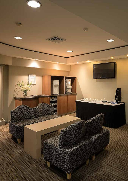